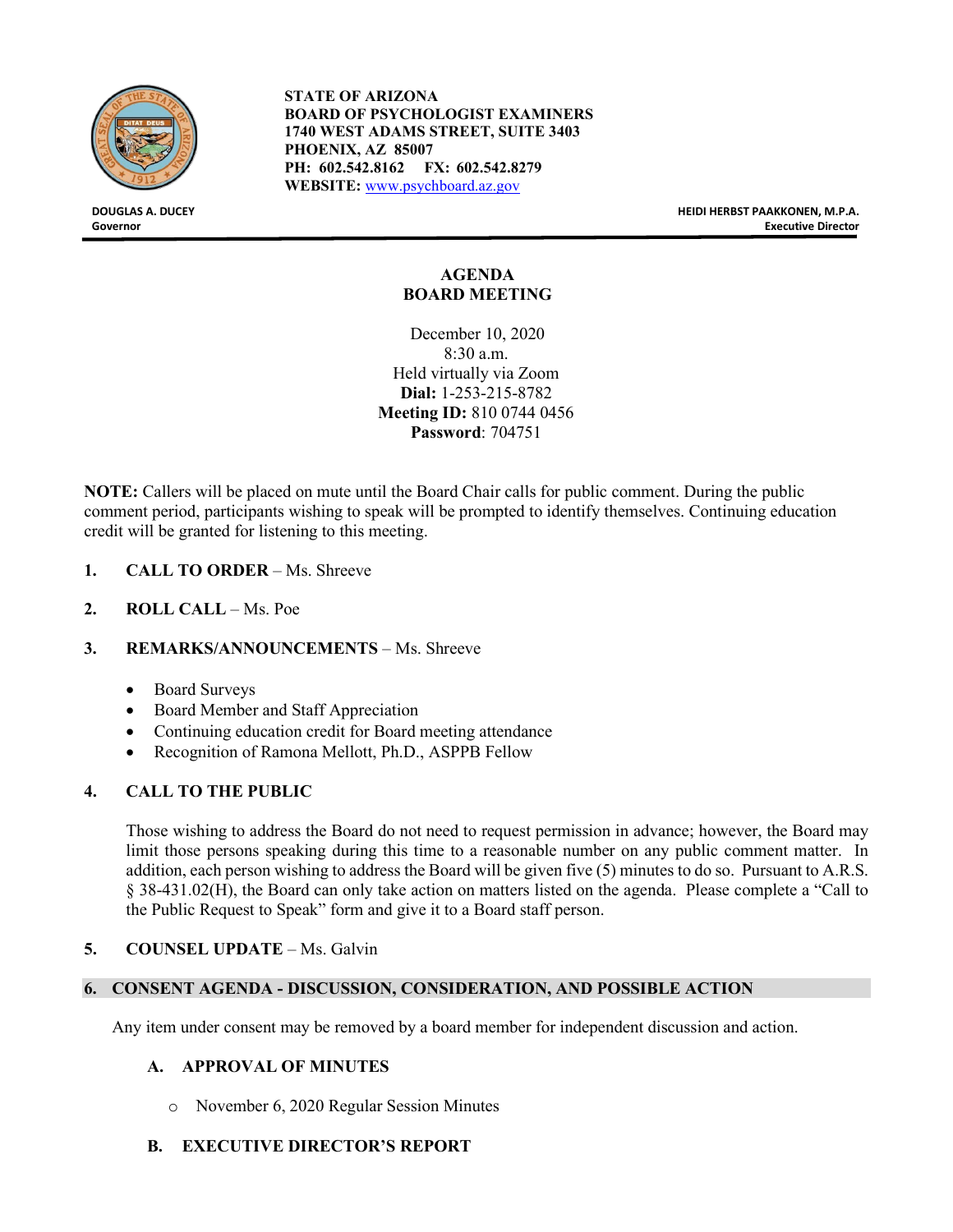

**STATE OF ARIZONA BOARD OF PSYCHOLOGIST EXAMINERS 1740 WEST ADAMS STREET, SUITE 3403 PHOENIX, AZ 85007 PH: 602.542.8162 FX: 602.542.8279 WEBSITE:** [www.psychboard.az.gov](http://www.psychboard.az.gov/)

**DOUGLAS A. DUCEY HEIDI HERBST PAAKKONEN, M.P.A. Governor Executive Director**

# **AGENDA BOARD MEETING**

December 10, 2020 8:30 a.m. Held virtually via Zoom **Dial:** 1-253-215-8782 **Meeting ID:** 810 0744 0456 **Password**: 704751

**NOTE:** Callers will be placed on mute until the Board Chair calls for public comment. During the public comment period, participants wishing to speak will be prompted to identify themselves. Continuing education credit will be granted for listening to this meeting.

- **1. CALL TO ORDER** Ms. Shreeve
- **2. ROLL CALL** Ms. Poe

#### **3. REMARKS/ANNOUNCEMENTS** – Ms. Shreeve

- Board Surveys
- Board Member and Staff Appreciation
- Continuing education credit for Board meeting attendance
- Recognition of Ramona Mellott, Ph.D., ASPPB Fellow

# **4. CALL TO THE PUBLIC**

Those wishing to address the Board do not need to request permission in advance; however, the Board may limit those persons speaking during this time to a reasonable number on any public comment matter. In addition, each person wishing to address the Board will be given five (5) minutes to do so. Pursuant to A.R.S. § 38-431.02(H), the Board can only take action on matters listed on the agenda. Please complete a "Call to the Public Request to Speak" form and give it to a Board staff person.

#### **5. COUNSEL UPDATE** – Ms. Galvin

#### **6. CONSENT AGENDA - DISCUSSION, CONSIDERATION, AND POSSIBLE ACTION**

Any item under consent may be removed by a board member for independent discussion and action.

# **A. APPROVAL OF MINUTES**

o November 6, 2020 Regular Session Minutes

# **B. EXECUTIVE DIRECTOR'S REPORT**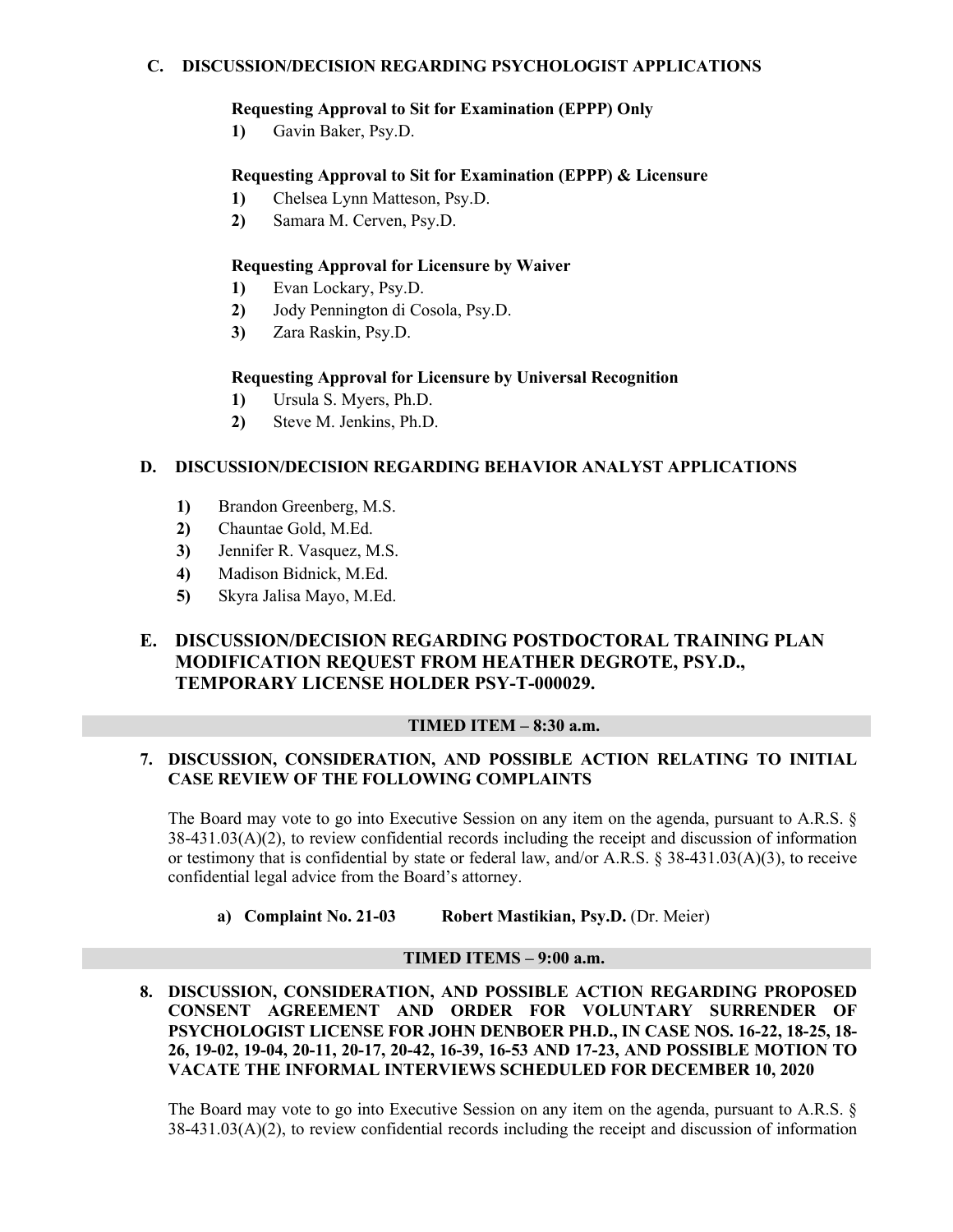## **C. DISCUSSION/DECISION REGARDING PSYCHOLOGIST APPLICATIONS**

#### **Requesting Approval to Sit for Examination (EPPP) Only**

**1)** Gavin Baker, Psy.D.

# **Requesting Approval to Sit for Examination (EPPP) & Licensure**

- **1)** Chelsea Lynn Matteson, Psy.D.
- **2)** Samara M. Cerven, Psy.D.

## **Requesting Approval for Licensure by Waiver**

- **1)** Evan Lockary, Psy.D.
- **2)** Jody Pennington di Cosola, Psy.D.
- **3)** Zara Raskin, Psy.D.

#### **Requesting Approval for Licensure by Universal Recognition**

- **1)** Ursula S. Myers, Ph.D.
- **2)** Steve M. Jenkins, Ph.D.

## **D. DISCUSSION/DECISION REGARDING BEHAVIOR ANALYST APPLICATIONS**

- **1)** Brandon Greenberg, M.S.
- **2)** Chauntae Gold, M.Ed.
- **3)** Jennifer R. Vasquez, M.S.
- **4)** Madison Bidnick, M.Ed.
- **5)** Skyra Jalisa Mayo, M.Ed.

# **E. DISCUSSION/DECISION REGARDING POSTDOCTORAL TRAINING PLAN MODIFICATION REQUEST FROM HEATHER DEGROTE, PSY.D., TEMPORARY LICENSE HOLDER PSY-T-000029.**

#### **TIMED ITEM – 8:30 a.m.**

#### **7. DISCUSSION, CONSIDERATION, AND POSSIBLE ACTION RELATING TO INITIAL CASE REVIEW OF THE FOLLOWING COMPLAINTS**

The Board may vote to go into Executive Session on any item on the agenda, pursuant to A.R.S. § 38-431.03(A)(2), to review confidential records including the receipt and discussion of information or testimony that is confidential by state or federal law, and/or A.R.S. § 38-431.03(A)(3), to receive confidential legal advice from the Board's attorney.

**a) Complaint No. 21-03 Robert Mastikian, Psy.D.** (Dr. Meier)

#### **TIMED ITEMS – 9:00 a.m.**

**8. DISCUSSION, CONSIDERATION, AND POSSIBLE ACTION REGARDING PROPOSED CONSENT AGREEMENT AND ORDER FOR VOLUNTARY SURRENDER OF PSYCHOLOGIST LICENSE FOR JOHN DENBOER PH.D., IN CASE NOS. 16-22, 18-25, 18- 26, 19-02, 19-04, 20-11, 20-17, 20-42, 16-39, 16-53 AND 17-23, AND POSSIBLE MOTION TO VACATE THE INFORMAL INTERVIEWS SCHEDULED FOR DECEMBER 10, 2020**

The Board may vote to go into Executive Session on any item on the agenda, pursuant to A.R.S. § 38-431.03(A)(2), to review confidential records including the receipt and discussion of information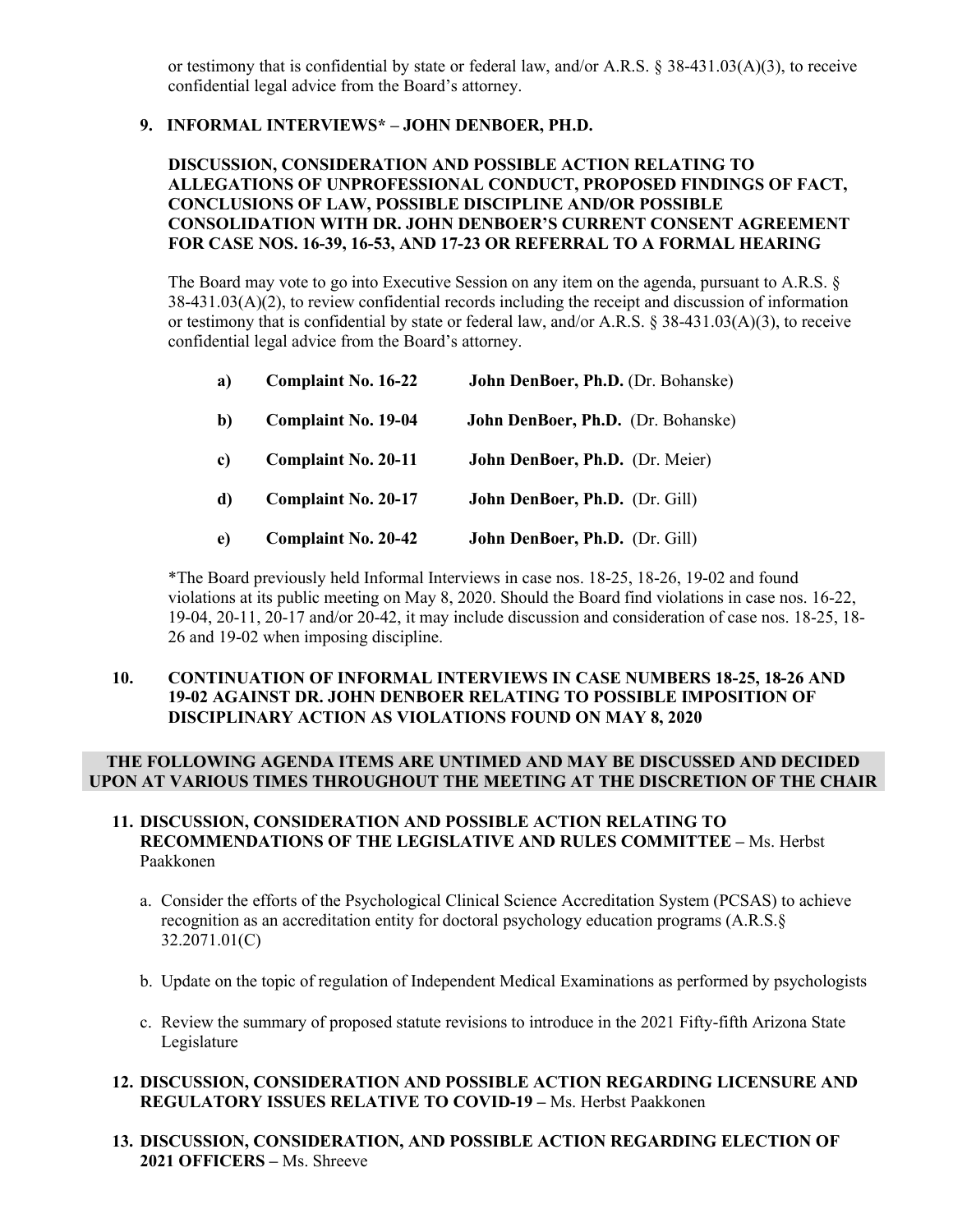or testimony that is confidential by state or federal law, and/or A.R.S. § 38-431.03(A)(3), to receive confidential legal advice from the Board's attorney.

## **9. INFORMAL INTERVIEWS\* – JOHN DENBOER, PH.D.**

#### **DISCUSSION, CONSIDERATION AND POSSIBLE ACTION RELATING TO ALLEGATIONS OF UNPROFESSIONAL CONDUCT, PROPOSED FINDINGS OF FACT, CONCLUSIONS OF LAW, POSSIBLE DISCIPLINE AND/OR POSSIBLE CONSOLIDATION WITH DR. JOHN DENBOER'S CURRENT CONSENT AGREEMENT FOR CASE NOS. 16-39, 16-53, AND 17-23 OR REFERRAL TO A FORMAL HEARING**

The Board may vote to go into Executive Session on any item on the agenda, pursuant to A.R.S. §  $38-431.03(A)(2)$ , to review confidential records including the receipt and discussion of information or testimony that is confidential by state or federal law, and/or A.R.S. § 38-431.03(A)(3), to receive confidential legal advice from the Board's attorney.

| a) | <b>Complaint No. 16-22</b> | John DenBoer, Ph.D. (Dr. Bohanske) |
|----|----------------------------|------------------------------------|
| b) | <b>Complaint No. 19-04</b> | John DenBoer, Ph.D. (Dr. Bohanske) |
| c) | <b>Complaint No. 20-11</b> | John DenBoer, Ph.D. (Dr. Meier)    |
| d) | <b>Complaint No. 20-17</b> | John DenBoer, Ph.D. (Dr. Gill)     |
| e) | <b>Complaint No. 20-42</b> | John DenBoer, Ph.D. (Dr. Gill)     |

\*The Board previously held Informal Interviews in case nos. 18-25, 18-26, 19-02 and found violations at its public meeting on May 8, 2020. Should the Board find violations in case nos. 16-22, 19-04, 20-11, 20-17 and/or 20-42, it may include discussion and consideration of case nos. 18-25, 18- 26 and 19-02 when imposing discipline.

#### **10. CONTINUATION OF INFORMAL INTERVIEWS IN CASE NUMBERS 18-25, 18-26 AND 19-02 AGAINST DR. JOHN DENBOER RELATING TO POSSIBLE IMPOSITION OF DISCIPLINARY ACTION AS VIOLATIONS FOUND ON MAY 8, 2020**

#### **THE FOLLOWING AGENDA ITEMS ARE UNTIMED AND MAY BE DISCUSSED AND DECIDED UPON AT VARIOUS TIMES THROUGHOUT THE MEETING AT THE DISCRETION OF THE CHAIR**

#### **11. DISCUSSION, CONSIDERATION AND POSSIBLE ACTION RELATING TO RECOMMENDATIONS OF THE LEGISLATIVE AND RULES COMMITTEE –** Ms. Herbst Paakkonen

- a. Consider the efforts of the Psychological Clinical Science Accreditation System (PCSAS) to achieve recognition as an accreditation entity for doctoral psychology education programs (A.R.S.§ 32.2071.01(C)
- b. Update on the topic of regulation of Independent Medical Examinations as performed by psychologists
- c. Review the summary of proposed statute revisions to introduce in the 2021 Fifty-fifth Arizona State Legislature

## **12. DISCUSSION, CONSIDERATION AND POSSIBLE ACTION REGARDING LICENSURE AND REGULATORY ISSUES RELATIVE TO COVID-19 –** Ms. Herbst Paakkonen

**13. DISCUSSION, CONSIDERATION, AND POSSIBLE ACTION REGARDING ELECTION OF 2021 OFFICERS –** Ms. Shreeve